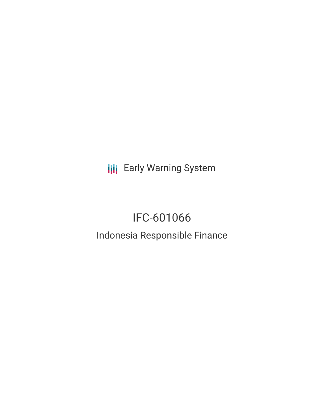**III** Early Warning System

# IFC-601066 Indonesia Responsible Finance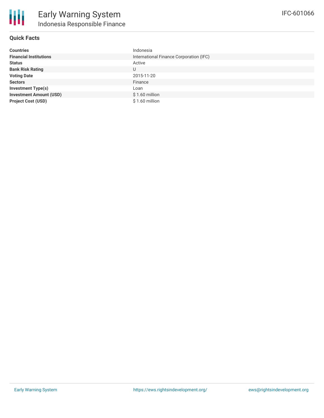## **Quick Facts**

| <b>Countries</b>               | Indonesia                               |
|--------------------------------|-----------------------------------------|
| <b>Financial Institutions</b>  | International Finance Corporation (IFC) |
| <b>Status</b>                  | Active                                  |
| <b>Bank Risk Rating</b>        | U                                       |
| <b>Voting Date</b>             | 2015-11-20                              |
| <b>Sectors</b>                 | Finance                                 |
| <b>Investment Type(s)</b>      | Loan                                    |
| <b>Investment Amount (USD)</b> | $$1.60$ million                         |
| <b>Project Cost (USD)</b>      | $$1.60$ million                         |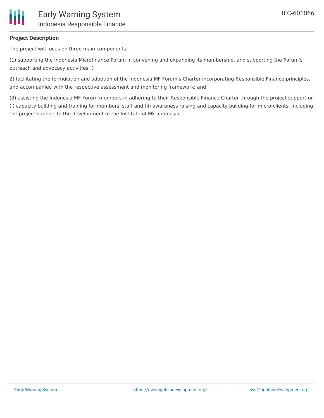## **Project Description**

The project will focus on three main components:

(1) supporting the Indonesia Microfinance Forum in convening and expanding its membership, and supporting the Forum's outreach and advocacy activities; (

2) facilitating the formulation and adoption of the Indonesia MF Forum's Charter incorporating Responsible Finance principles, and accompanied with the respective assessment and monitoring framework; and

(3) assisting the Indonesia MF Forum members in adhering to their Responsible Finance Charter through the project support on (i) capacity building and training for members' staff and (ii) awareness raising and capacity building for micro-clients, including the project support to the development of the Institute of MF Indonesia.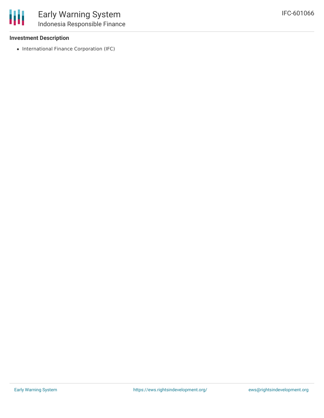#### **Investment Description**

• International Finance Corporation (IFC)